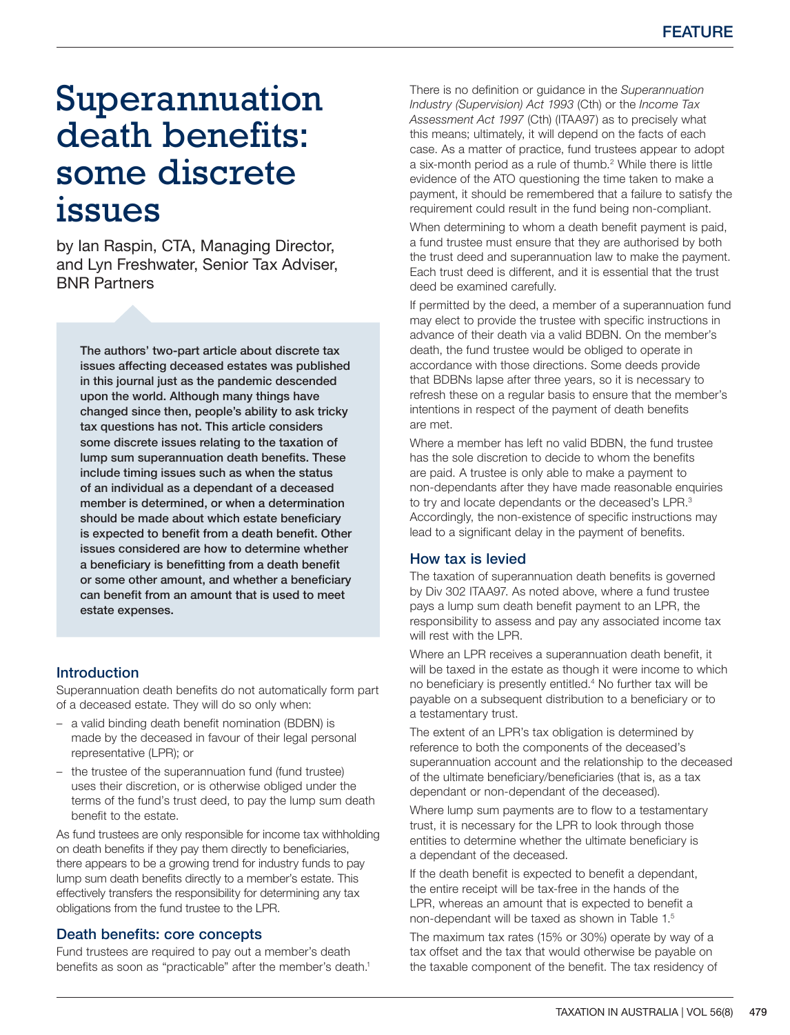# Superannuation death benefits: some discrete issues

by Ian Raspin, CTA, Managing Director, and Lyn Freshwater, Senior Tax Adviser, BNR Partners

The authors' two-part article about discrete tax issues affecting deceased estates was published in this journal just as the pandemic descended upon the world. Although many things have changed since then, people's ability to ask tricky tax questions has not. This article considers some discrete issues relating to the taxation of lump sum superannuation death benefits. These include timing issues such as when the status of an individual as a dependant of a deceased member is determined, or when a determination should be made about which estate beneficiary is expected to benefit from a death benefit. Other issues considered are how to determine whether a beneficiary is benefitting from a death benefit or some other amount, and whether a beneficiary can benefit from an amount that is used to meet estate expenses.

## Introduction

Superannuation death benefits do not automatically form part of a deceased estate. They will do so only when:

- a valid binding death benefit nomination (BDBN) is made by the deceased in favour of their legal personal representative (LPR); or
- the trustee of the superannuation fund (fund trustee) uses their discretion, or is otherwise obliged under the terms of the fund's trust deed, to pay the lump sum death benefit to the estate.

As fund trustees are only responsible for income tax withholding on death benefits if they pay them directly to beneficiaries, there appears to be a growing trend for industry funds to pay lump sum death benefits directly to a member's estate. This effectively transfers the responsibility for determining any tax obligations from the fund trustee to the LPR.

## Death benefits: core concepts

Fund trustees are required to pay out a member's death benefits as soon as "practicable" after the member's death.<sup>1</sup>

There is no definition or guidance in the *Superannuation Industry (Supervision) Act 1993* (Cth) or the *Income Tax Assessment Act 1997* (Cth) (ITAA97) as to precisely what this means; ultimately, it will depend on the facts of each case. As a matter of practice, fund trustees appear to adopt a six-month period as a rule of thumb.<sup>[2](#page-3-0)</sup> While there is little evidence of the ATO questioning the time taken to make a payment, it should be remembered that a failure to satisfy the requirement could result in the fund being non-compliant.

When determining to whom a death benefit payment is paid. a fund trustee must ensure that they are authorised by both the trust deed and superannuation law to make the payment. Each trust deed is different, and it is essential that the trust deed be examined carefully.

If permitted by the deed, a member of a superannuation fund may elect to provide the trustee with specific instructions in advance of their death via a valid BDBN. On the member's death, the fund trustee would be obliged to operate in accordance with those directions. Some deeds provide that BDBNs lapse after three years, so it is necessary to refresh these on a regular basis to ensure that the member's intentions in respect of the payment of death benefits are met.

Where a member has left no valid BDBN, the fund trustee has the sole discretion to decide to whom the benefits are paid. A trustee is only able to make a payment to non-dependants after they have made reasonable enquiries to try and locate dependants or the deceased's LPR.<sup>[3](#page-4-0)</sup> Accordingly, the non-existence of specific instructions may lead to a significant delay in the payment of benefits.

## How tax is levied

The taxation of superannuation death benefits is governed by Div 302 ITAA97. As noted above, where a fund trustee pays a lump sum death benefit payment to an LPR, the responsibility to assess and pay any associated income tax will rest with the LPR.

Where an LPR receives a superannuation death benefit, it will be taxed in the estate as though it were income to which no beneficiary is presently entitled.<sup>4</sup> No further tax will be payable on a subsequent distribution to a beneficiary or to a testamentary trust.

The extent of an LPR's tax obligation is determined by reference to both the components of the deceased's superannuation account and the relationship to the deceased of the ultimate beneficiary/beneficiaries (that is, as a tax dependant or non-dependant of the deceased).

Where lump sum payments are to flow to a testamentary trust, it is necessary for the LPR to look through those entities to determine whether the ultimate beneficiary is a dependant of the deceased.

If the death benefit is expected to benefit a dependant, the entire receipt will be tax-free in the hands of the LPR, whereas an amount that is expected to benefit a non-dependant will be taxed as shown in [Table 1](#page-1-0).[5](#page-4-0)

The maximum tax rates (15% or 30%) operate by way of a tax offset and the tax that would otherwise be payable on the taxable component of the benefit. The tax residency of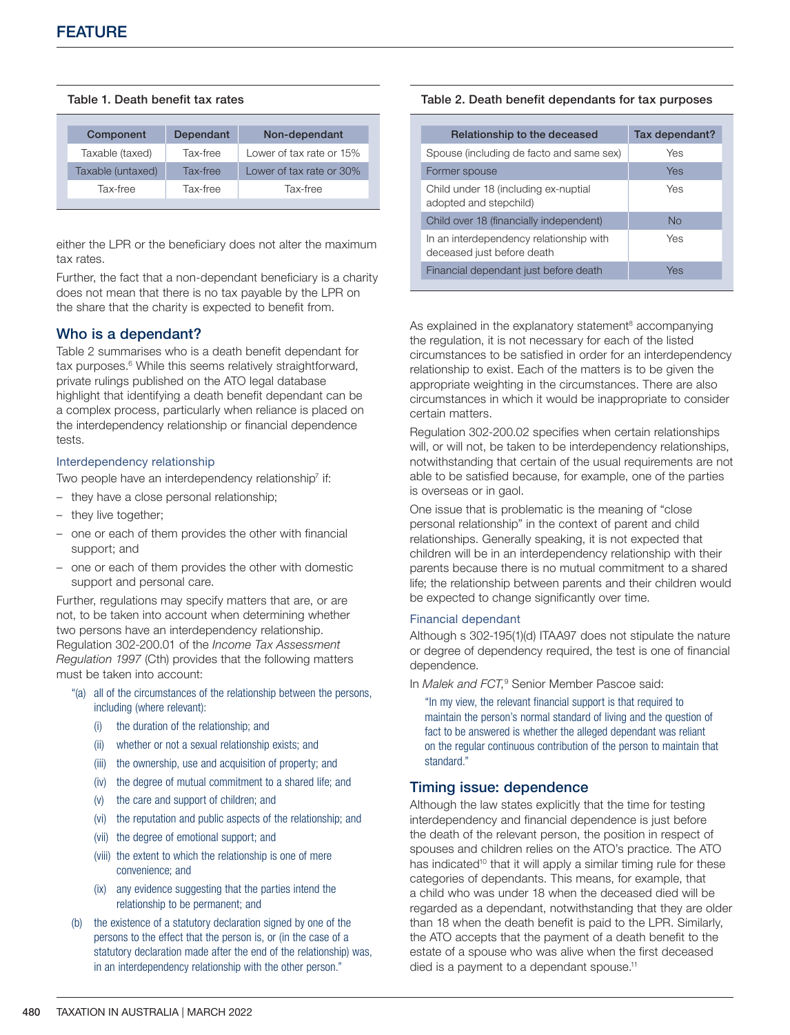## <span id="page-1-0"></span>Table 1. Death benefit tax rates

| Component         | Dependant | Non-dependant            |
|-------------------|-----------|--------------------------|
| Taxable (taxed)   | Tax-free  | Lower of tax rate or 15% |
| Taxable (untaxed) | Tax-free  | Lower of tax rate or 30% |
| Tax-free          | Tax-free  | Tax-free                 |

either the LPR or the beneficiary does not alter the maximum tax rates.

Further, the fact that a non-dependant beneficiary is a charity does not mean that there is no tax payable by the LPR on the share that the charity is expected to benefit from.

## Who is a dependant?

[Table 2](#page-1-1) summarises who is a death benefit dependant for tax purposes.<sup>[6](#page-4-0)</sup> While this seems relatively straightforward, private rulings published on the ATO legal database highlight that identifying a death benefit dependant can be a complex process, particularly when reliance is placed on the interdependency relationship or financial dependence tests.

#### Interdependency relationship

Two people have an interdependency relationship<sup>7</sup> if:

- they have a close personal relationship;
- they live together;
- one or each of them provides the other with financial support; and
- one or each of them provides the other with domestic support and personal care.

Further, regulations may specify matters that are, or are not, to be taken into account when determining whether two persons have an interdependency relationship. Regulation 302-200.01 of the *Income Tax Assessment Regulation 1997* (Cth) provides that the following matters must be taken into account:

- "(a) all of the circumstances of the relationship between the persons, including (where relevant):
	- (i) the duration of the relationship; and
	- (ii) whether or not a sexual relationship exists; and
	- (iii) the ownership, use and acquisition of property; and
	- (iv) the degree of mutual commitment to a shared life; and
	- (v) the care and support of children; and
	- (vi) the reputation and public aspects of the relationship; and
	- (vii) the degree of emotional support; and
	- (viii) the extent to which the relationship is one of mere convenience; and
	- (ix) any evidence suggesting that the parties intend the relationship to be permanent; and
- (b) the existence of a statutory declaration signed by one of the persons to the effect that the person is, or (in the case of a statutory declaration made after the end of the relationship) was, in an interdependency relationship with the other person."

#### Table 2. Death benefit dependants for tax purposes

| Relationship to the deceased                                          | Tax dependant? |
|-----------------------------------------------------------------------|----------------|
| Spouse (including de facto and same sex)                              | Yes            |
| Former spouse                                                         | Yes            |
| Child under 18 (including ex-nuptial<br>adopted and stepchild)        | Yes            |
| Child over 18 (financially independent)                               | No             |
| In an interdependency relationship with<br>deceased just before death | Yes            |
| Financial dependant just before death                                 | Yes            |
|                                                                       |                |

<span id="page-1-1"></span>As explained in the explanatory statement<sup>8</sup> accompanying the regulation, it is not necessary for each of the listed circumstances to be satisfied in order for an interdependency relationship to exist. Each of the matters is to be given the appropriate weighting in the circumstances. There are also circumstances in which it would be inappropriate to consider certain matters.

Regulation 302-200.02 specifies when certain relationships will, or will not, be taken to be interdependency relationships, notwithstanding that certain of the usual requirements are not able to be satisfied because, for example, one of the parties is overseas or in gaol.

One issue that is problematic is the meaning of "close personal relationship" in the context of parent and child relationships. Generally speaking, it is not expected that children will be in an interdependency relationship with their parents because there is no mutual commitment to a shared life; the relationship between parents and their children would be expected to change significantly over time.

#### Financial dependant

Although s 302-195(1)(d) ITAA97 does not stipulate the nature or degree of dependency required, the test is one of financial dependence.

In Malek and FCT,<sup>[9](#page-4-0)</sup> Senior Member Pascoe said:

"In my view, the relevant financial support is that required to maintain the person's normal standard of living and the question of fact to be answered is whether the alleged dependant was reliant on the regular continuous contribution of the person to maintain that standard."

## Timing issue: dependence

Although the law states explicitly that the time for testing interdependency and financial dependence is just before the death of the relevant person, the position in respect of spouses and children relies on the ATO's practice. The ATO has indicated<sup>10</sup> that it will apply a similar timing rule for these categories of dependants. This means, for example, that a child who was under 18 when the deceased died will be regarded as a dependant, notwithstanding that they are older than 18 when the death benefit is paid to the LPR. Similarly, the ATO accepts that the payment of a death benefit to the estate of a spouse who was alive when the first deceased died is a payment to a dependant spouse.<sup>11</sup>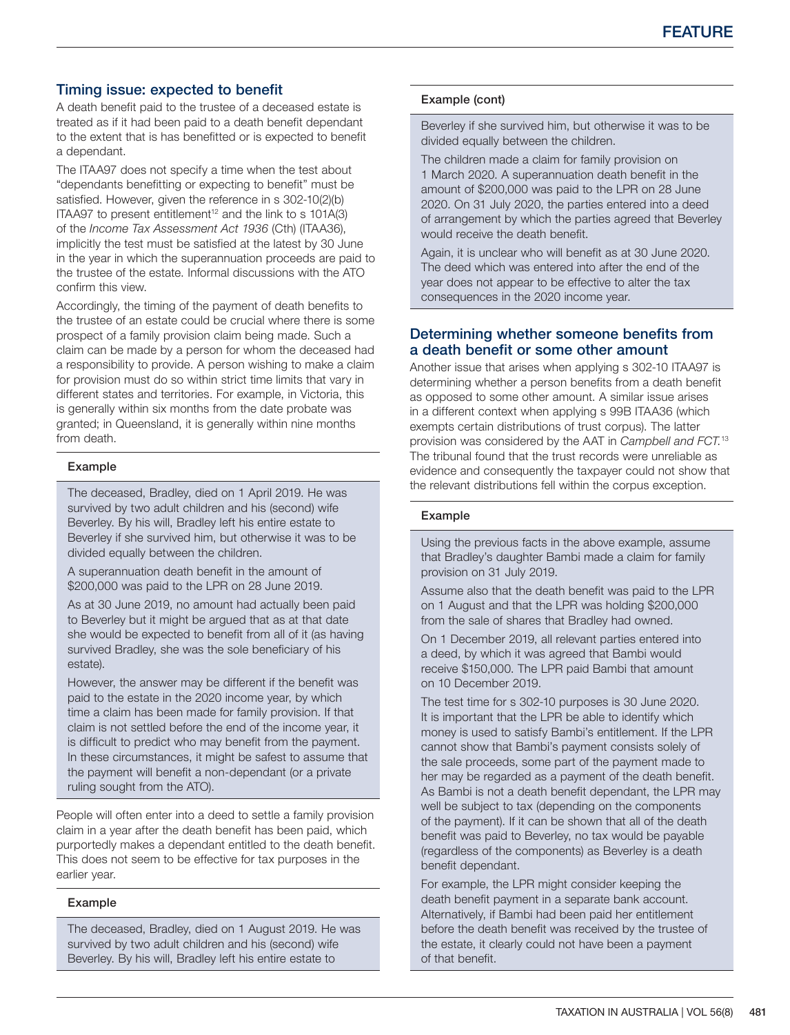# Timing issue: expected to benefit

A death benefit paid to the trustee of a deceased estate is treated as if it had been paid to a death benefit dependant to the extent that is has benefitted or is expected to benefit a dependant.

The ITAA97 does not specify a time when the test about "dependants benefitting or expecting to benefit" must be satisfied. However, given the reference in s 302-10(2)(b) ITAA97 to present entitlement<sup>12</sup> and the link to s  $101A(3)$ of the *Income Tax Assessment Act 1936* (Cth) (ITAA36), implicitly the test must be satisfied at the latest by 30 June in the year in which the superannuation proceeds are paid to the trustee of the estate. Informal discussions with the ATO confirm this view.

Accordingly, the timing of the payment of death benefits to the trustee of an estate could be crucial where there is some prospect of a family provision claim being made. Such a claim can be made by a person for whom the deceased had a responsibility to provide. A person wishing to make a claim for provision must do so within strict time limits that vary in different states and territories. For example, in Victoria, this is generally within six months from the date probate was granted; in Queensland, it is generally within nine months from death.

## Example

The deceased, Bradley, died on 1 April 2019. He was survived by two adult children and his (second) wife Beverley. By his will, Bradley left his entire estate to Beverley if she survived him, but otherwise it was to be divided equally between the children.

A superannuation death benefit in the amount of \$200,000 was paid to the LPR on 28 June 2019.

As at 30 June 2019, no amount had actually been paid to Beverley but it might be argued that as at that date she would be expected to benefit from all of it (as having survived Bradley, she was the sole beneficiary of his estate).

However, the answer may be different if the benefit was paid to the estate in the 2020 income year, by which time a claim has been made for family provision. If that claim is not settled before the end of the income year, it is difficult to predict who may benefit from the payment. In these circumstances, it might be safest to assume that the payment will benefit a non-dependant (or a private ruling sought from the ATO).

People will often enter into a deed to settle a family provision claim in a year after the death benefit has been paid, which purportedly makes a dependant entitled to the death benefit. This does not seem to be effective for tax purposes in the earlier year.

#### Example

The deceased, Bradley, died on 1 August 2019. He was survived by two adult children and his (second) wife Beverley. By his will, Bradley left his entire estate to

## Example (cont)

Beverley if she survived him, but otherwise it was to be divided equally between the children.

The children made a claim for family provision on 1 March 2020. A superannuation death benefit in the amount of \$200,000 was paid to the LPR on 28 June 2020. On 31 July 2020, the parties entered into a deed of arrangement by which the parties agreed that Beverley would receive the death benefit.

Again, it is unclear who will benefit as at 30 June 2020. The deed which was entered into after the end of the year does not appear to be effective to alter the tax consequences in the 2020 income year.

# Determining whether someone benefits from a death benefit or some other amount

Another issue that arises when applying s 302-10 ITAA97 is determining whether a person benefits from a death benefit as opposed to some other amount. A similar issue arises in a different context when applying s 99B ITAA36 (which exempts certain distributions of trust corpus). The latter provision was considered by the AAT in *Campbell and FCT*. [13](#page-4-0) The tribunal found that the trust records were unreliable as evidence and consequently the taxpayer could not show that the relevant distributions fell within the corpus exception.

## Example

Using the previous facts in the above example, assume that Bradley's daughter Bambi made a claim for family provision on 31 July 2019.

Assume also that the death benefit was paid to the LPR on 1 August and that the LPR was holding \$200,000 from the sale of shares that Bradley had owned.

On 1 December 2019, all relevant parties entered into a deed, by which it was agreed that Bambi would receive \$150,000. The LPR paid Bambi that amount on 10 December 2019.

The test time for s 302-10 purposes is 30 June 2020. It is important that the LPR be able to identify which money is used to satisfy Bambi's entitlement. If the LPR cannot show that Bambi's payment consists solely of the sale proceeds, some part of the payment made to her may be regarded as a payment of the death benefit. As Bambi is not a death benefit dependant, the LPR may well be subject to tax (depending on the components of the payment). If it can be shown that all of the death benefit was paid to Beverley, no tax would be payable (regardless of the components) as Beverley is a death benefit dependant.

For example, the LPR might consider keeping the death benefit payment in a separate bank account. Alternatively, if Bambi had been paid her entitlement before the death benefit was received by the trustee of the estate, it clearly could not have been a payment of that benefit.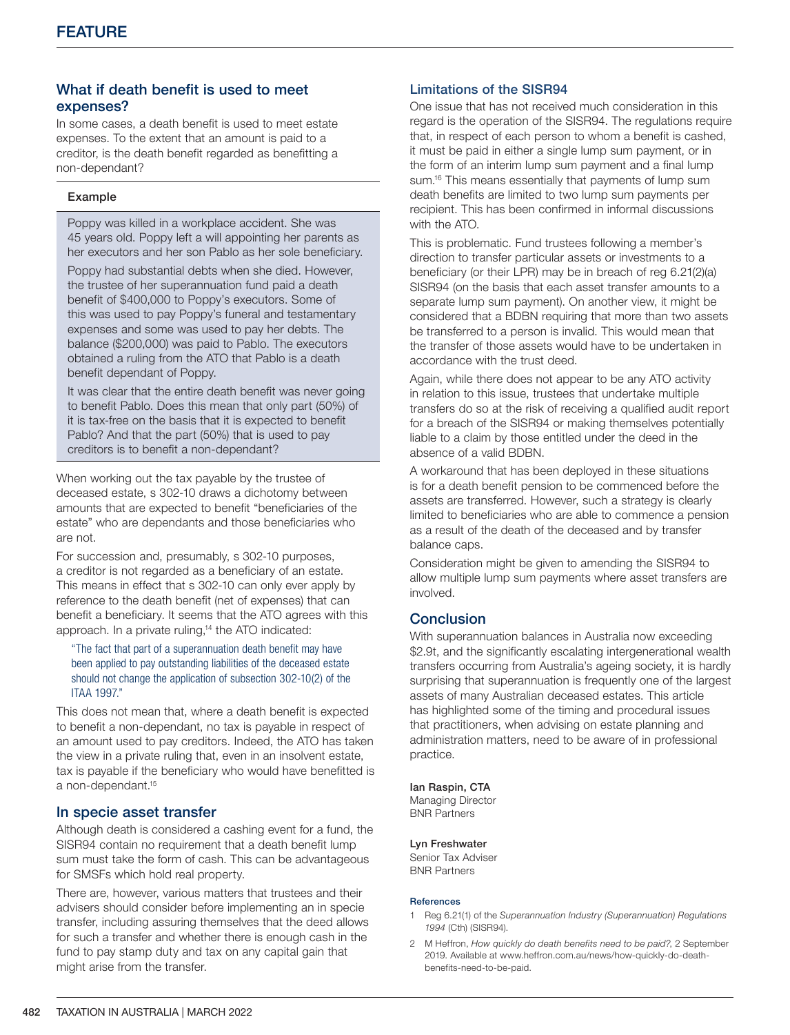# What if death benefit is used to meet expenses?

In some cases, a death benefit is used to meet estate expenses. To the extent that an amount is paid to a creditor, is the death benefit regarded as benefitting a non-dependant?

## Example

Poppy was killed in a workplace accident. She was 45 years old. Poppy left a will appointing her parents as her executors and her son Pablo as her sole beneficiary.

Poppy had substantial debts when she died. However, the trustee of her superannuation fund paid a death benefit of \$400,000 to Poppy's executors. Some of this was used to pay Poppy's funeral and testamentary expenses and some was used to pay her debts. The balance (\$200,000) was paid to Pablo. The executors obtained a ruling from the ATO that Pablo is a death benefit dependant of Poppy.

It was clear that the entire death benefit was never going to benefit Pablo. Does this mean that only part (50%) of it is tax-free on the basis that it is expected to benefit Pablo? And that the part (50%) that is used to pay creditors is to benefit a non-dependant?

When working out the tax payable by the trustee of deceased estate, s 302-10 draws a dichotomy between amounts that are expected to benefit "beneficiaries of the estate" who are dependants and those beneficiaries who are not.

For succession and, presumably, s 302-10 purposes, a creditor is not regarded as a beneficiary of an estate. This means in effect that s 302-10 can only ever apply by reference to the death benefit (net of expenses) that can benefit a beneficiary. It seems that the ATO agrees with this approach. In a private ruling[,14](#page-4-0) the ATO indicated:

"The fact that part of a superannuation death benefit may have been applied to pay outstanding liabilities of the deceased estate should not change the application of subsection 302-10(2) of the ITAA 1997."

This does not mean that, where a death benefit is expected to benefit a non-dependant, no tax is payable in respect of an amount used to pay creditors. Indeed, the ATO has taken the view in a private ruling that, even in an insolvent estate, tax is payable if the beneficiary who would have benefitted is a non-dependant[.15](#page-4-0)

# In specie asset transfer

Although death is considered a cashing event for a fund, the SISR94 contain no requirement that a death benefit lump sum must take the form of cash. This can be advantageous for SMSFs which hold real property.

There are, however, various matters that trustees and their advisers should consider before implementing an in specie transfer, including assuring themselves that the deed allows for such a transfer and whether there is enough cash in the fund to pay stamp duty and tax on any capital gain that might arise from the transfer.

# Limitations of the SISR94

One issue that has not received much consideration in this regard is the operation of the SISR94. The regulations require that, in respect of each person to whom a benefit is cashed, it must be paid in either a single lump sum payment, or in the form of an interim lump sum payment and a final lump sum.<sup>16</sup> This means essentially that payments of lump sum death benefits are limited to two lump sum payments per recipient. This has been confirmed in informal discussions with the ATO.

This is problematic. Fund trustees following a member's direction to transfer particular assets or investments to a beneficiary (or their LPR) may be in breach of reg 6.21(2)(a) SISR94 (on the basis that each asset transfer amounts to a separate lump sum payment). On another view, it might be considered that a BDBN requiring that more than two assets be transferred to a person is invalid. This would mean that the transfer of those assets would have to be undertaken in accordance with the trust deed.

Again, while there does not appear to be any ATO activity in relation to this issue, trustees that undertake multiple transfers do so at the risk of receiving a qualified audit report for a breach of the SISR94 or making themselves potentially liable to a claim by those entitled under the deed in the absence of a valid BDBN.

A workaround that has been deployed in these situations is for a death benefit pension to be commenced before the assets are transferred. However, such a strategy is clearly limited to beneficiaries who are able to commence a pension as a result of the death of the deceased and by transfer balance caps.

Consideration might be given to amending the SISR94 to allow multiple lump sum payments where asset transfers are involved.

# Conclusion

With superannuation balances in Australia now exceeding \$2.9t, and the significantly escalating intergenerational wealth transfers occurring from Australia's ageing society, it is hardly surprising that superannuation is frequently one of the largest assets of many Australian deceased estates. This article has highlighted some of the timing and procedural issues that practitioners, when advising on estate planning and administration matters, need to be aware of in professional practice.

#### Ian Raspin, CTA

Managing Director BNR Partners

#### Lyn Freshwater

Senior Tax Adviser BNR Partners

#### <span id="page-3-0"></span>References

- 1 Reg 6.21(1) of the *Superannuation Industry (Superannuation) Regulations 1994* (Cth) (SISR94).
- 2 M Heffron, *How quickly do death benefits need to be paid?*, 2 September 2019. Available at [www.heffron.com.au/news/how-quickly-do-death](http://www.heffron.com.au/news/how-quickly-do-death-benefits-need-to-be-paid)[benefits-need-to-be-paid.](http://www.heffron.com.au/news/how-quickly-do-death-benefits-need-to-be-paid)